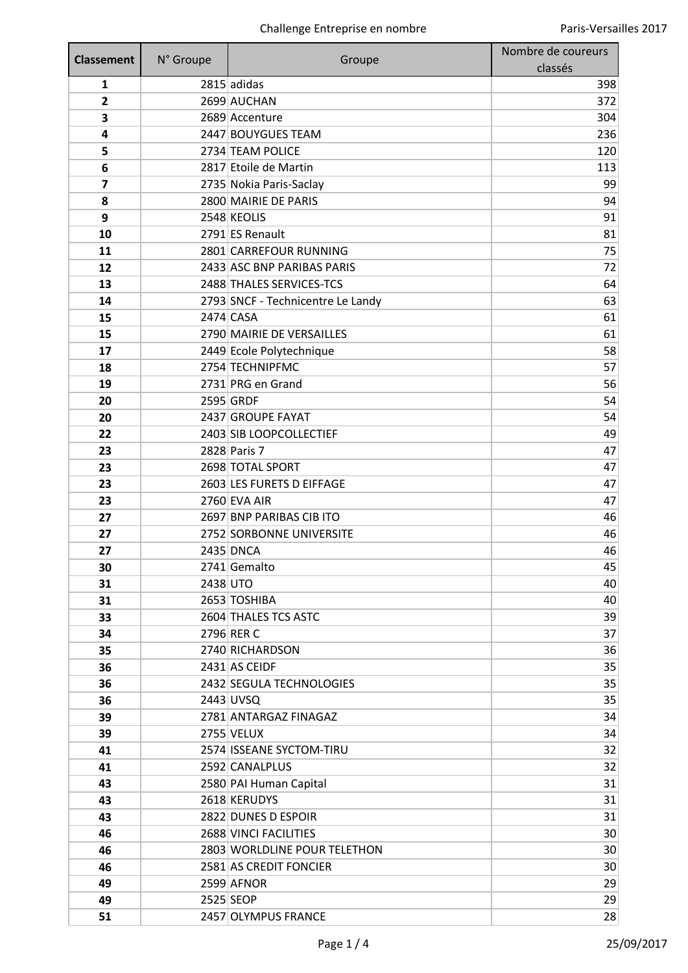| <b>Classement</b>       | N° Groupe | Groupe                            | Nombre de coureurs |
|-------------------------|-----------|-----------------------------------|--------------------|
|                         |           |                                   | classés            |
| $\mathbf{1}$            |           | $2815$ adidas                     | 398                |
| 2                       |           | 2699 AUCHAN                       | 372                |
| 3                       |           | 2689 Accenture                    | 304                |
| 4                       |           | 2447 BOUYGUES TEAM                | 236                |
| 5                       |           | 2734 TEAM POLICE                  | 120                |
| 6                       |           | 2817 Etoile de Martin             | 113                |
| $\overline{\mathbf{z}}$ |           | 2735 Nokia Paris-Saclay           | 99                 |
| 8                       |           | 2800 MAIRIE DE PARIS              | 94                 |
| 9                       |           | 2548 KEOLIS                       | 91                 |
| 10                      |           | 2791 ES Renault                   | 81                 |
| 11                      |           | 2801 CARREFOUR RUNNING            | 75                 |
| 12                      |           | 2433 ASC BNP PARIBAS PARIS        | 72                 |
| 13                      |           | 2488 THALES SERVICES-TCS          | 64                 |
| 14                      |           | 2793 SNCF - Technicentre Le Landy | 63                 |
| 15                      |           | 2474 CASA                         | 61                 |
| 15                      |           | 2790 MAIRIE DE VERSAILLES         | 61                 |
| 17                      |           | 2449 Ecole Polytechnique          | 58                 |
| 18                      |           | 2754 TECHNIPFMC                   | 57                 |
| 19                      |           | 2731 PRG en Grand                 | 56                 |
| 20                      |           | 2595 GRDF                         | 54                 |
| 20                      |           | 2437 GROUPE FAYAT                 | 54                 |
| 22                      |           | 2403 SIB LOOPCOLLECTIEF           | 49                 |
| 23                      |           | 2828 Paris 7                      | 47                 |
| 23                      |           | 2698 TOTAL SPORT                  | 47                 |
| 23                      |           | 2603 LES FURETS D EIFFAGE         | 47                 |
| 23                      |           | 2760 EVA AIR                      | 47                 |
| 27                      |           | 2697 BNP PARIBAS CIB ITO          | 46                 |
| 27                      |           | 2752 SORBONNE UNIVERSITE          | 46                 |
| 27                      |           | 2435 DNCA                         | 46                 |
| 30                      |           | 2741 Gemalto                      | 45                 |
| 31                      | 2438 UTO  |                                   | 40                 |
| 31                      |           | 2653 TOSHIBA                      | 40                 |
| 33                      |           | 2604 THALES TCS ASTC              | 39                 |
| 34                      |           | 2796 RER C                        | 37                 |
| 35                      |           | 2740 RICHARDSON<br>2431 AS CEIDF  | 36<br>35           |
| 36<br>36                |           | 2432 SEGULA TECHNOLOGIES          | 35                 |
|                         |           | 2443 UVSQ                         | 35                 |
| 36<br>39                |           | 2781 ANTARGAZ FINAGAZ             | 34                 |
| 39                      |           | 2755 VELUX                        | 34                 |
| 41                      |           | 2574 ISSEANE SYCTOM-TIRU          | 32                 |
| 41                      |           | 2592 CANALPLUS                    | 32                 |
| 43                      |           | 2580 PAI Human Capital            | 31                 |
| 43                      |           | 2618 KERUDYS                      | 31                 |
| 43                      |           | 2822 DUNES D ESPOIR               | 31                 |
| 46                      |           | 2688 VINCI FACILITIES             | 30                 |
| 46                      |           | 2803 WORLDLINE POUR TELETHON      | 30                 |
| 46                      |           | 2581 AS CREDIT FONCIER            | 30                 |
| 49                      |           | 2599 AFNOR                        | 29                 |
| 49                      |           | 2525 SEOP                         | 29                 |
| 51                      |           | 2457 OLYMPUS FRANCE               | 28                 |
|                         |           |                                   |                    |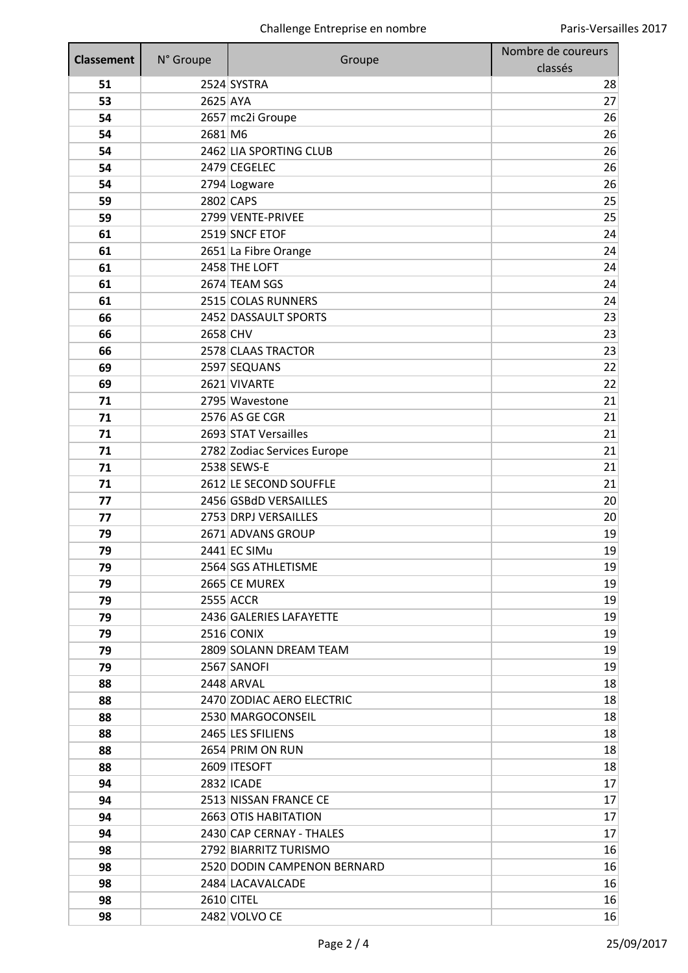| <b>Classement</b> | N° Groupe | Groupe                                     | Nombre de coureurs |
|-------------------|-----------|--------------------------------------------|--------------------|
|                   |           |                                            | classés            |
| 51                |           | 2524 SYSTRA                                | 28                 |
| 53                | 2625 AYA  |                                            | 27                 |
| 54                |           | 2657 mc2i Groupe                           | 26                 |
| 54                | 2681 M6   |                                            | 26                 |
| 54                |           | 2462 LIA SPORTING CLUB                     | 26                 |
| 54                |           | 2479 CEGELEC                               | 26                 |
| 54                |           | 2794 Logware                               | 26                 |
| 59                |           | 2802 CAPS                                  | 25                 |
| 59                |           | 2799 VENTE-PRIVEE                          | 25                 |
| 61                |           | 2519 SNCF ETOF                             | 24                 |
| 61                |           | 2651 La Fibre Orange                       | 24                 |
| 61                |           | 2458 THE LOFT<br>2674 TEAM SGS             | 24<br>24           |
| 61<br>61          |           |                                            | 24                 |
|                   |           | 2515 COLAS RUNNERS<br>2452 DASSAULT SPORTS | 23                 |
| 66<br>66          | 2658 CHV  |                                            | 23                 |
| 66                |           | 2578 CLAAS TRACTOR                         | 23                 |
| 69                |           | 2597 SEQUANS                               | 22                 |
| 69                |           | 2621 VIVARTE                               | 22                 |
| 71                |           | 2795 Wavestone                             | 21                 |
| 71                |           | 2576 AS GE CGR                             | 21                 |
| 71                |           | 2693 STAT Versailles                       | 21                 |
| 71                |           | 2782 Zodiac Services Europe                | 21                 |
| 71                |           | 2538 SEWS-E                                | 21                 |
| 71                |           | 2612 LE SECOND SOUFFLE                     | 21                 |
| 77                |           | 2456 GSBdD VERSAILLES                      | 20                 |
| 77                |           | 2753 DRPJ VERSAILLES                       | 20                 |
| 79                |           | 2671 ADVANS GROUP                          | 19                 |
| 79                |           | 2441 EC SIMu                               | 19                 |
| 79                |           | 2564 SGS ATHLETISME                        | 19                 |
| 79                |           | 2665 CE MUREX                              | 19                 |
| 79                |           | 2555 ACCR                                  | 19                 |
| 79                |           | 2436 GALERIES LAFAYETTE                    | 19                 |
| 79                |           | 2516 CONIX                                 | 19                 |
| 79                |           | 2809 SOLANN DREAM TEAM                     | 19                 |
| 79                |           | 2567 SANOFI                                | 19                 |
| 88                |           | 2448 ARVAL                                 | 18                 |
| 88                |           | 2470 ZODIAC AERO ELECTRIC                  | 18                 |
| 88                |           | 2530 MARGOCONSEIL                          | 18                 |
| 88                |           | 2465 LES SFILIENS                          | 18                 |
| 88                |           | 2654 PRIM ON RUN                           | 18                 |
| 88                |           | 2609 ITESOFT                               | 18                 |
| 94                |           | 2832 ICADE                                 | 17                 |
| 94                |           | 2513 NISSAN FRANCE CE                      | 17                 |
| 94                |           | 2663 OTIS HABITATION                       | 17                 |
| 94                |           | 2430 CAP CERNAY - THALES                   | 17                 |
| 98                |           | 2792 BIARRITZ TURISMO                      | 16                 |
| 98                |           | 2520 DODIN CAMPENON BERNARD                | 16                 |
| 98                |           | 2484 LACAVALCADE                           | 16                 |
| 98                |           | 2610 CITEL                                 | 16                 |
| 98                |           | 2482 VOLVO CE                              | 16                 |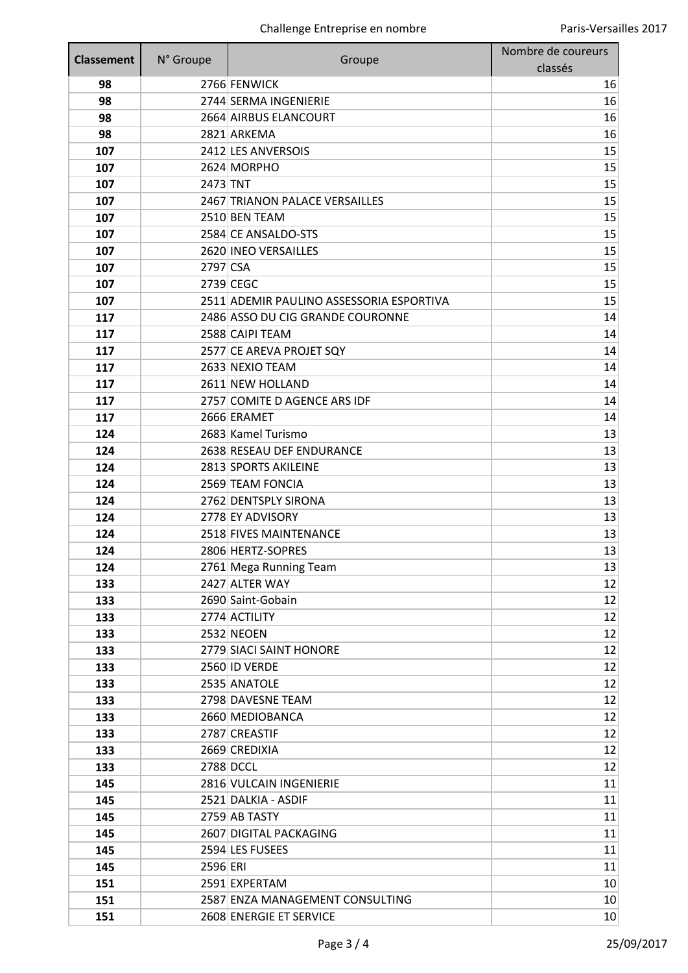| 2766 FENWICK<br>98<br>16<br>2744 SERMA INGENIERIE<br>98<br>16<br>2664 AIRBUS ELANCOURT<br>16<br>98<br>98<br>2821 ARKEMA<br>16<br>2412 LES ANVERSOIS<br>15<br>107<br>15<br>2624 MORPHO<br>107<br>2473 TNT<br>15<br>107<br>2467 TRIANON PALACE VERSAILLES<br>15<br>107<br>2510 BEN TEAM<br>15<br>107<br>2584 CE ANSALDO-STS<br>15<br>107<br>15<br>107<br>2620 INEO VERSAILLES<br>2797 CSA<br>15<br>107<br>2739 CEGC<br>15<br>107<br>2511 ADEMIR PAULINO ASSESSORIA ESPORTIVA<br>15<br>107<br>2486 ASSO DU CIG GRANDE COURONNE<br>14<br>117<br>117<br>2588 CAIPI TEAM<br>14<br>2577 CE AREVA PROJET SQY<br>14<br>117<br>117<br>2633 NEXIO TEAM<br>14<br>2611 NEW HOLLAND<br>14<br>117<br>2757 COMITE D AGENCE ARS IDF<br>14<br>117<br>117<br>2666 ERAMET<br>14<br>2683 Kamel Turismo<br>13<br>124<br>124<br>2638 RESEAU DEF ENDURANCE<br>13<br>2813 SPORTS AKILEINE<br>13<br>124<br>124<br>2569 TEAM FONCIA<br>13<br>13<br>2762 DENTSPLY SIRONA<br>124<br>2778 EY ADVISORY<br>13<br>124<br>124<br>2518 FIVES MAINTENANCE<br>13<br>2806 HERTZ-SOPRES<br>13<br>124<br>124<br>2761 Mega Running Team<br>13<br>2427 ALTER WAY<br>12<br>133<br>2690 Saint-Gobain<br>12<br>133<br>2774 ACTILITY<br>12<br>133<br>12<br>133<br>2532 NEOEN<br>133<br>2779 SIACI SAINT HONORE<br>12<br>133<br>2560 ID VERDE<br>12<br>2535 ANATOLE<br>133<br>12<br>2798 DAVESNE TEAM<br>12<br>133<br>12<br>133<br>2660 MEDIOBANCA<br>2787 CREASTIF<br>12<br>133<br>133<br>2669 CREDIXIA<br>12<br>2788 DCCL<br>12<br>133<br>2816 VULCAIN INGENIERIE<br>11<br>145<br>11<br>145<br>2521 DALKIA - ASDIF<br>145<br>2759 AB TASTY<br>11<br>2607 DIGITAL PACKAGING<br>11<br>145<br>2594 LES FUSEES<br>11<br>145<br>2596 ERI<br>11<br>145<br>2591 EXPERTAM<br>151<br>10<br>151<br>2587 ENZA MANAGEMENT CONSULTING<br>10<br>151<br>2608 ENERGIE ET SERVICE<br>10 <sup>1</sup> | <b>Classement</b> | N° Groupe | Groupe | Nombre de coureurs |
|----------------------------------------------------------------------------------------------------------------------------------------------------------------------------------------------------------------------------------------------------------------------------------------------------------------------------------------------------------------------------------------------------------------------------------------------------------------------------------------------------------------------------------------------------------------------------------------------------------------------------------------------------------------------------------------------------------------------------------------------------------------------------------------------------------------------------------------------------------------------------------------------------------------------------------------------------------------------------------------------------------------------------------------------------------------------------------------------------------------------------------------------------------------------------------------------------------------------------------------------------------------------------------------------------------------------------------------------------------------------------------------------------------------------------------------------------------------------------------------------------------------------------------------------------------------------------------------------------------------------------------------------------------------------------------------------------------------------------------------------------------------------------------------------------------------------------------------|-------------------|-----------|--------|--------------------|
|                                                                                                                                                                                                                                                                                                                                                                                                                                                                                                                                                                                                                                                                                                                                                                                                                                                                                                                                                                                                                                                                                                                                                                                                                                                                                                                                                                                                                                                                                                                                                                                                                                                                                                                                                                                                                                        |                   |           |        | classés            |
|                                                                                                                                                                                                                                                                                                                                                                                                                                                                                                                                                                                                                                                                                                                                                                                                                                                                                                                                                                                                                                                                                                                                                                                                                                                                                                                                                                                                                                                                                                                                                                                                                                                                                                                                                                                                                                        |                   |           |        |                    |
|                                                                                                                                                                                                                                                                                                                                                                                                                                                                                                                                                                                                                                                                                                                                                                                                                                                                                                                                                                                                                                                                                                                                                                                                                                                                                                                                                                                                                                                                                                                                                                                                                                                                                                                                                                                                                                        |                   |           |        |                    |
|                                                                                                                                                                                                                                                                                                                                                                                                                                                                                                                                                                                                                                                                                                                                                                                                                                                                                                                                                                                                                                                                                                                                                                                                                                                                                                                                                                                                                                                                                                                                                                                                                                                                                                                                                                                                                                        |                   |           |        |                    |
|                                                                                                                                                                                                                                                                                                                                                                                                                                                                                                                                                                                                                                                                                                                                                                                                                                                                                                                                                                                                                                                                                                                                                                                                                                                                                                                                                                                                                                                                                                                                                                                                                                                                                                                                                                                                                                        |                   |           |        |                    |
|                                                                                                                                                                                                                                                                                                                                                                                                                                                                                                                                                                                                                                                                                                                                                                                                                                                                                                                                                                                                                                                                                                                                                                                                                                                                                                                                                                                                                                                                                                                                                                                                                                                                                                                                                                                                                                        |                   |           |        |                    |
|                                                                                                                                                                                                                                                                                                                                                                                                                                                                                                                                                                                                                                                                                                                                                                                                                                                                                                                                                                                                                                                                                                                                                                                                                                                                                                                                                                                                                                                                                                                                                                                                                                                                                                                                                                                                                                        |                   |           |        |                    |
|                                                                                                                                                                                                                                                                                                                                                                                                                                                                                                                                                                                                                                                                                                                                                                                                                                                                                                                                                                                                                                                                                                                                                                                                                                                                                                                                                                                                                                                                                                                                                                                                                                                                                                                                                                                                                                        |                   |           |        |                    |
|                                                                                                                                                                                                                                                                                                                                                                                                                                                                                                                                                                                                                                                                                                                                                                                                                                                                                                                                                                                                                                                                                                                                                                                                                                                                                                                                                                                                                                                                                                                                                                                                                                                                                                                                                                                                                                        |                   |           |        |                    |
|                                                                                                                                                                                                                                                                                                                                                                                                                                                                                                                                                                                                                                                                                                                                                                                                                                                                                                                                                                                                                                                                                                                                                                                                                                                                                                                                                                                                                                                                                                                                                                                                                                                                                                                                                                                                                                        |                   |           |        |                    |
|                                                                                                                                                                                                                                                                                                                                                                                                                                                                                                                                                                                                                                                                                                                                                                                                                                                                                                                                                                                                                                                                                                                                                                                                                                                                                                                                                                                                                                                                                                                                                                                                                                                                                                                                                                                                                                        |                   |           |        |                    |
|                                                                                                                                                                                                                                                                                                                                                                                                                                                                                                                                                                                                                                                                                                                                                                                                                                                                                                                                                                                                                                                                                                                                                                                                                                                                                                                                                                                                                                                                                                                                                                                                                                                                                                                                                                                                                                        |                   |           |        |                    |
|                                                                                                                                                                                                                                                                                                                                                                                                                                                                                                                                                                                                                                                                                                                                                                                                                                                                                                                                                                                                                                                                                                                                                                                                                                                                                                                                                                                                                                                                                                                                                                                                                                                                                                                                                                                                                                        |                   |           |        |                    |
|                                                                                                                                                                                                                                                                                                                                                                                                                                                                                                                                                                                                                                                                                                                                                                                                                                                                                                                                                                                                                                                                                                                                                                                                                                                                                                                                                                                                                                                                                                                                                                                                                                                                                                                                                                                                                                        |                   |           |        |                    |
|                                                                                                                                                                                                                                                                                                                                                                                                                                                                                                                                                                                                                                                                                                                                                                                                                                                                                                                                                                                                                                                                                                                                                                                                                                                                                                                                                                                                                                                                                                                                                                                                                                                                                                                                                                                                                                        |                   |           |        |                    |
|                                                                                                                                                                                                                                                                                                                                                                                                                                                                                                                                                                                                                                                                                                                                                                                                                                                                                                                                                                                                                                                                                                                                                                                                                                                                                                                                                                                                                                                                                                                                                                                                                                                                                                                                                                                                                                        |                   |           |        |                    |
|                                                                                                                                                                                                                                                                                                                                                                                                                                                                                                                                                                                                                                                                                                                                                                                                                                                                                                                                                                                                                                                                                                                                                                                                                                                                                                                                                                                                                                                                                                                                                                                                                                                                                                                                                                                                                                        |                   |           |        |                    |
|                                                                                                                                                                                                                                                                                                                                                                                                                                                                                                                                                                                                                                                                                                                                                                                                                                                                                                                                                                                                                                                                                                                                                                                                                                                                                                                                                                                                                                                                                                                                                                                                                                                                                                                                                                                                                                        |                   |           |        |                    |
|                                                                                                                                                                                                                                                                                                                                                                                                                                                                                                                                                                                                                                                                                                                                                                                                                                                                                                                                                                                                                                                                                                                                                                                                                                                                                                                                                                                                                                                                                                                                                                                                                                                                                                                                                                                                                                        |                   |           |        |                    |
|                                                                                                                                                                                                                                                                                                                                                                                                                                                                                                                                                                                                                                                                                                                                                                                                                                                                                                                                                                                                                                                                                                                                                                                                                                                                                                                                                                                                                                                                                                                                                                                                                                                                                                                                                                                                                                        |                   |           |        |                    |
|                                                                                                                                                                                                                                                                                                                                                                                                                                                                                                                                                                                                                                                                                                                                                                                                                                                                                                                                                                                                                                                                                                                                                                                                                                                                                                                                                                                                                                                                                                                                                                                                                                                                                                                                                                                                                                        |                   |           |        |                    |
|                                                                                                                                                                                                                                                                                                                                                                                                                                                                                                                                                                                                                                                                                                                                                                                                                                                                                                                                                                                                                                                                                                                                                                                                                                                                                                                                                                                                                                                                                                                                                                                                                                                                                                                                                                                                                                        |                   |           |        |                    |
|                                                                                                                                                                                                                                                                                                                                                                                                                                                                                                                                                                                                                                                                                                                                                                                                                                                                                                                                                                                                                                                                                                                                                                                                                                                                                                                                                                                                                                                                                                                                                                                                                                                                                                                                                                                                                                        |                   |           |        |                    |
|                                                                                                                                                                                                                                                                                                                                                                                                                                                                                                                                                                                                                                                                                                                                                                                                                                                                                                                                                                                                                                                                                                                                                                                                                                                                                                                                                                                                                                                                                                                                                                                                                                                                                                                                                                                                                                        |                   |           |        |                    |
|                                                                                                                                                                                                                                                                                                                                                                                                                                                                                                                                                                                                                                                                                                                                                                                                                                                                                                                                                                                                                                                                                                                                                                                                                                                                                                                                                                                                                                                                                                                                                                                                                                                                                                                                                                                                                                        |                   |           |        |                    |
|                                                                                                                                                                                                                                                                                                                                                                                                                                                                                                                                                                                                                                                                                                                                                                                                                                                                                                                                                                                                                                                                                                                                                                                                                                                                                                                                                                                                                                                                                                                                                                                                                                                                                                                                                                                                                                        |                   |           |        |                    |
|                                                                                                                                                                                                                                                                                                                                                                                                                                                                                                                                                                                                                                                                                                                                                                                                                                                                                                                                                                                                                                                                                                                                                                                                                                                                                                                                                                                                                                                                                                                                                                                                                                                                                                                                                                                                                                        |                   |           |        |                    |
|                                                                                                                                                                                                                                                                                                                                                                                                                                                                                                                                                                                                                                                                                                                                                                                                                                                                                                                                                                                                                                                                                                                                                                                                                                                                                                                                                                                                                                                                                                                                                                                                                                                                                                                                                                                                                                        |                   |           |        |                    |
|                                                                                                                                                                                                                                                                                                                                                                                                                                                                                                                                                                                                                                                                                                                                                                                                                                                                                                                                                                                                                                                                                                                                                                                                                                                                                                                                                                                                                                                                                                                                                                                                                                                                                                                                                                                                                                        |                   |           |        |                    |
|                                                                                                                                                                                                                                                                                                                                                                                                                                                                                                                                                                                                                                                                                                                                                                                                                                                                                                                                                                                                                                                                                                                                                                                                                                                                                                                                                                                                                                                                                                                                                                                                                                                                                                                                                                                                                                        |                   |           |        |                    |
|                                                                                                                                                                                                                                                                                                                                                                                                                                                                                                                                                                                                                                                                                                                                                                                                                                                                                                                                                                                                                                                                                                                                                                                                                                                                                                                                                                                                                                                                                                                                                                                                                                                                                                                                                                                                                                        |                   |           |        |                    |
|                                                                                                                                                                                                                                                                                                                                                                                                                                                                                                                                                                                                                                                                                                                                                                                                                                                                                                                                                                                                                                                                                                                                                                                                                                                                                                                                                                                                                                                                                                                                                                                                                                                                                                                                                                                                                                        |                   |           |        |                    |
|                                                                                                                                                                                                                                                                                                                                                                                                                                                                                                                                                                                                                                                                                                                                                                                                                                                                                                                                                                                                                                                                                                                                                                                                                                                                                                                                                                                                                                                                                                                                                                                                                                                                                                                                                                                                                                        |                   |           |        |                    |
|                                                                                                                                                                                                                                                                                                                                                                                                                                                                                                                                                                                                                                                                                                                                                                                                                                                                                                                                                                                                                                                                                                                                                                                                                                                                                                                                                                                                                                                                                                                                                                                                                                                                                                                                                                                                                                        |                   |           |        |                    |
|                                                                                                                                                                                                                                                                                                                                                                                                                                                                                                                                                                                                                                                                                                                                                                                                                                                                                                                                                                                                                                                                                                                                                                                                                                                                                                                                                                                                                                                                                                                                                                                                                                                                                                                                                                                                                                        |                   |           |        |                    |
|                                                                                                                                                                                                                                                                                                                                                                                                                                                                                                                                                                                                                                                                                                                                                                                                                                                                                                                                                                                                                                                                                                                                                                                                                                                                                                                                                                                                                                                                                                                                                                                                                                                                                                                                                                                                                                        |                   |           |        |                    |
|                                                                                                                                                                                                                                                                                                                                                                                                                                                                                                                                                                                                                                                                                                                                                                                                                                                                                                                                                                                                                                                                                                                                                                                                                                                                                                                                                                                                                                                                                                                                                                                                                                                                                                                                                                                                                                        |                   |           |        |                    |
|                                                                                                                                                                                                                                                                                                                                                                                                                                                                                                                                                                                                                                                                                                                                                                                                                                                                                                                                                                                                                                                                                                                                                                                                                                                                                                                                                                                                                                                                                                                                                                                                                                                                                                                                                                                                                                        |                   |           |        |                    |
|                                                                                                                                                                                                                                                                                                                                                                                                                                                                                                                                                                                                                                                                                                                                                                                                                                                                                                                                                                                                                                                                                                                                                                                                                                                                                                                                                                                                                                                                                                                                                                                                                                                                                                                                                                                                                                        |                   |           |        |                    |
|                                                                                                                                                                                                                                                                                                                                                                                                                                                                                                                                                                                                                                                                                                                                                                                                                                                                                                                                                                                                                                                                                                                                                                                                                                                                                                                                                                                                                                                                                                                                                                                                                                                                                                                                                                                                                                        |                   |           |        |                    |
|                                                                                                                                                                                                                                                                                                                                                                                                                                                                                                                                                                                                                                                                                                                                                                                                                                                                                                                                                                                                                                                                                                                                                                                                                                                                                                                                                                                                                                                                                                                                                                                                                                                                                                                                                                                                                                        |                   |           |        |                    |
|                                                                                                                                                                                                                                                                                                                                                                                                                                                                                                                                                                                                                                                                                                                                                                                                                                                                                                                                                                                                                                                                                                                                                                                                                                                                                                                                                                                                                                                                                                                                                                                                                                                                                                                                                                                                                                        |                   |           |        |                    |
|                                                                                                                                                                                                                                                                                                                                                                                                                                                                                                                                                                                                                                                                                                                                                                                                                                                                                                                                                                                                                                                                                                                                                                                                                                                                                                                                                                                                                                                                                                                                                                                                                                                                                                                                                                                                                                        |                   |           |        |                    |
|                                                                                                                                                                                                                                                                                                                                                                                                                                                                                                                                                                                                                                                                                                                                                                                                                                                                                                                                                                                                                                                                                                                                                                                                                                                                                                                                                                                                                                                                                                                                                                                                                                                                                                                                                                                                                                        |                   |           |        |                    |
|                                                                                                                                                                                                                                                                                                                                                                                                                                                                                                                                                                                                                                                                                                                                                                                                                                                                                                                                                                                                                                                                                                                                                                                                                                                                                                                                                                                                                                                                                                                                                                                                                                                                                                                                                                                                                                        |                   |           |        |                    |
|                                                                                                                                                                                                                                                                                                                                                                                                                                                                                                                                                                                                                                                                                                                                                                                                                                                                                                                                                                                                                                                                                                                                                                                                                                                                                                                                                                                                                                                                                                                                                                                                                                                                                                                                                                                                                                        |                   |           |        |                    |
|                                                                                                                                                                                                                                                                                                                                                                                                                                                                                                                                                                                                                                                                                                                                                                                                                                                                                                                                                                                                                                                                                                                                                                                                                                                                                                                                                                                                                                                                                                                                                                                                                                                                                                                                                                                                                                        |                   |           |        |                    |
|                                                                                                                                                                                                                                                                                                                                                                                                                                                                                                                                                                                                                                                                                                                                                                                                                                                                                                                                                                                                                                                                                                                                                                                                                                                                                                                                                                                                                                                                                                                                                                                                                                                                                                                                                                                                                                        |                   |           |        |                    |
|                                                                                                                                                                                                                                                                                                                                                                                                                                                                                                                                                                                                                                                                                                                                                                                                                                                                                                                                                                                                                                                                                                                                                                                                                                                                                                                                                                                                                                                                                                                                                                                                                                                                                                                                                                                                                                        |                   |           |        |                    |
|                                                                                                                                                                                                                                                                                                                                                                                                                                                                                                                                                                                                                                                                                                                                                                                                                                                                                                                                                                                                                                                                                                                                                                                                                                                                                                                                                                                                                                                                                                                                                                                                                                                                                                                                                                                                                                        |                   |           |        |                    |
|                                                                                                                                                                                                                                                                                                                                                                                                                                                                                                                                                                                                                                                                                                                                                                                                                                                                                                                                                                                                                                                                                                                                                                                                                                                                                                                                                                                                                                                                                                                                                                                                                                                                                                                                                                                                                                        |                   |           |        |                    |